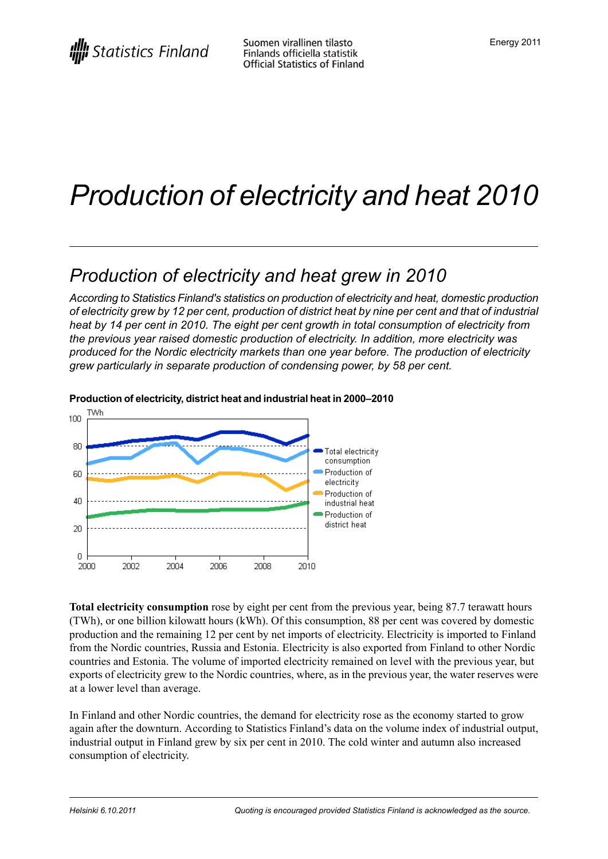# *Production of electricity and heat 2010*

### *Production of electricity and heat grew in 2010*

*According to Statistics Finland's statistics on production of electricity and heat, domestic production* of electricity grew by 12 per cent, production of district heat by nine per cent and that of industrial *heat by 14 per cent in 2010. The eight per cent growth in total consumption of electricity from the previous year raised domestic production of electricity. In addition, more electricity was produced for the Nordic electricity markets than one year before. The production of electricity grew particularly in separate production of condensing power, by 58 per cent.*



#### **Production ofelectricity, district heatand industrial heat in 2000–2010**

**Total electricity consumption** rose by eight per cent from the previous year, being 87.7 terawatt hours (TWh), or one billion kilowatt hours (kWh). Of this consumption, 88 per cent was covered by domestic production and the remaining 12 per cent by net imports of electricity. Electricity is imported to Finland from the Nordic countries, Russia and Estonia. Electricity is also exported from Finland to other Nordic countries and Estonia. The volume of imported electricity remained on level with the previous year, but exports of electricity grew to the Nordic countries, where, as in the previous year, the water reserves were at a lower level than average.

In Finland and other Nordic countries, the demand for electricity rose as the economy started to grow again after the downturn. According to Statistics Finland's data on the volume index of industrial output, industrial output in Finland grew by six per cent in 2010. The cold winter and autumn also increased consumption of electricity.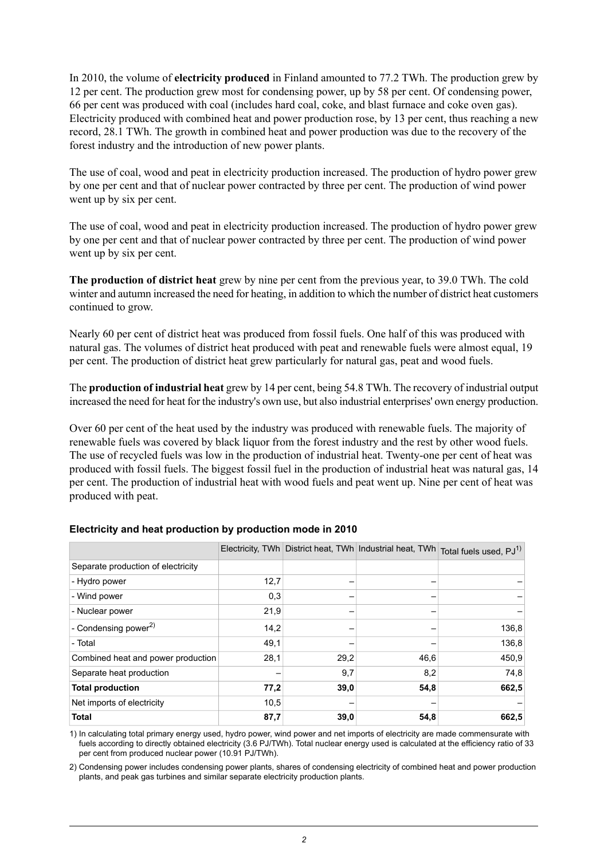In 2010, the volume of **electricity produced** in Finland amounted to 77.2 TWh. The production grew by 12 per cent. The production grew most for condensing power, up by 58 per cent. Of condensing power, 66 per cent was produced with coal (includes hard coal, coke, and blast furnace and coke oven gas). Electricity produced with combined heat and power production rose, by 13 per cent, thus reaching a new record, 28.1 TWh. The growth in combined heat and power production was due to the recovery of the forest industry and the introduction of new power plants.

The use of coal, wood and peat in electricity production increased. The production of hydro power grew by one per cent and that of nuclear power contracted by three per cent. The production of wind power went up by six per cent.

The use of coal, wood and peat in electricity production increased. The production of hydro power grew by one per cent and that of nuclear power contracted by three per cent. The production of wind power went up by six per cent.

**The production of district heat** grew by nine per cent from the previous year, to 39.0 TWh. The cold winter and autumn increased the need for heating, in addition to which the number of district heat customers continued to grow.

Nearly 60 per cent of district heat was produced from fossil fuels. One half of this was produced with natural gas. The volumes of district heat produced with peat and renewable fuels were almost equal, 19 per cent. The production of district heat grew particularly for natural gas, peat and wood fuels.

The **production of industrial heat** grew by 14 per cent, being 54.8 TWh. The recovery of industrial output increased the need for heat for the industry's own use, but also industrial enterprises' own energy production.

Over 60 per cent of the heat used by the industry was produced with renewable fuels. The majority of renewable fuels was covered by black liquor from the forest industry and the rest by other wood fuels. The use of recycled fuels was low in the production of industrial heat. Twenty-one per cent of heat was produced with fossil fuels. The biggest fossil fuel in the production of industrial heat was natural gas, 14 per cent. The production of industrial heat with wood fuels and peat went up. Nine per cent of heat was produced with peat.

|                                    |      |      | Electricity, TWh District heat, TWh Industrial heat, TWh | Total fuels used, PJ <sup>1)</sup> |
|------------------------------------|------|------|----------------------------------------------------------|------------------------------------|
| Separate production of electricity |      |      |                                                          |                                    |
| - Hydro power                      | 12,7 |      |                                                          |                                    |
| - Wind power                       | 0,3  |      |                                                          |                                    |
| - Nuclear power                    | 21,9 |      |                                                          |                                    |
| - Condensing power $^{2)}$         | 14,2 |      |                                                          | 136,8                              |
| - Total                            | 49,1 |      |                                                          | 136,8                              |
| Combined heat and power production | 28,1 | 29,2 | 46,6                                                     | 450,9                              |
| Separate heat production           |      | 9,7  | 8,2                                                      | 74,8                               |
| <b>Total production</b>            | 77,2 | 39,0 | 54,8                                                     | 662,5                              |
| Net imports of electricity         | 10,5 |      |                                                          |                                    |
| <b>Total</b>                       | 87,7 | 39,0 | 54,8                                                     | 662,5                              |

#### **Electricity and heat production by production mode in 2010**

1) In calculating total primary energy used, hydro power, wind power and net imports of electricity are made commensurate with fuels according to directly obtained electricity (3.6 PJ/TWh). Total nuclear energy used is calculated at the efficiency ratio of 33 per cent from produced nuclear power (10.91 PJ/TWh).

2) Condensing power includes condensing power plants, shares of condensing electricity of combined heat and power production plants, and peak gas turbines and similar separate electricity production plants.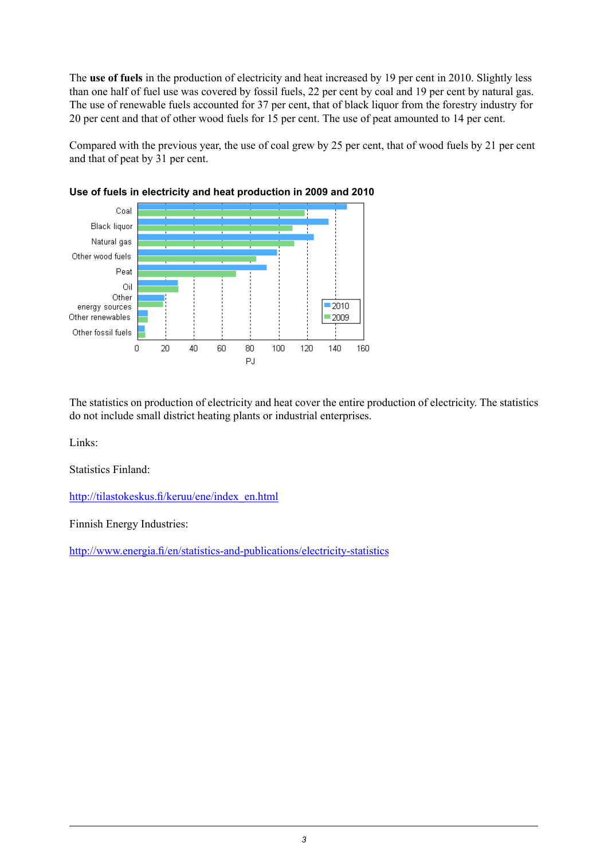The **use of fuels** in the production of electricity and heat increased by 19 per cent in 2010. Slightly less than one half of fuel use was covered by fossil fuels, 22 per cent by coal and 19 per cent by natural gas. The use of renewable fuels accounted for 37 per cent, that of black liquor from the forestry industry for 20 per cent and that of other wood fuels for 15 per cent. The use of peat amounted to 14 per cent.

Compared with the previous year, the use of coal grew by 25 per cent, that of wood fuels by 21 per cent and that of peat by 31 per cent.





The statistics on production of electricity and heat cover the entire production of electricity. The statistics do not include small district heating plants or industrial enterprises.

Links:

Statistics Finland:

[http://tilastokeskus.fi/keruu/ene/index\\_en.html](http://tilastokeskus.fi/keruu/ene/index_en.html)

Finnish Energy Industries:

<http://www.energia.fi/en/statistics-and-publications/electricity-statistics>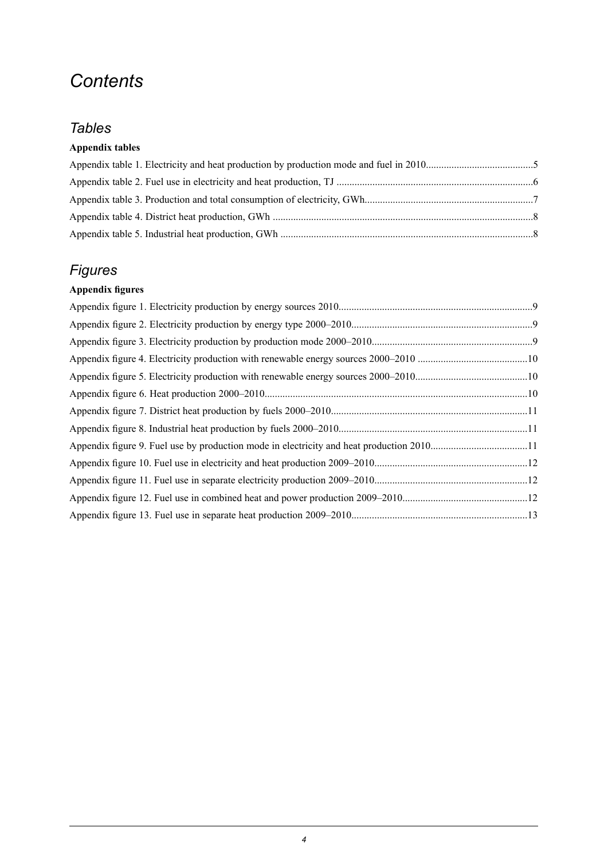## *Contents*

### *Tables*

#### **Appendix tables**

### *Figures*

### **Appendix figures**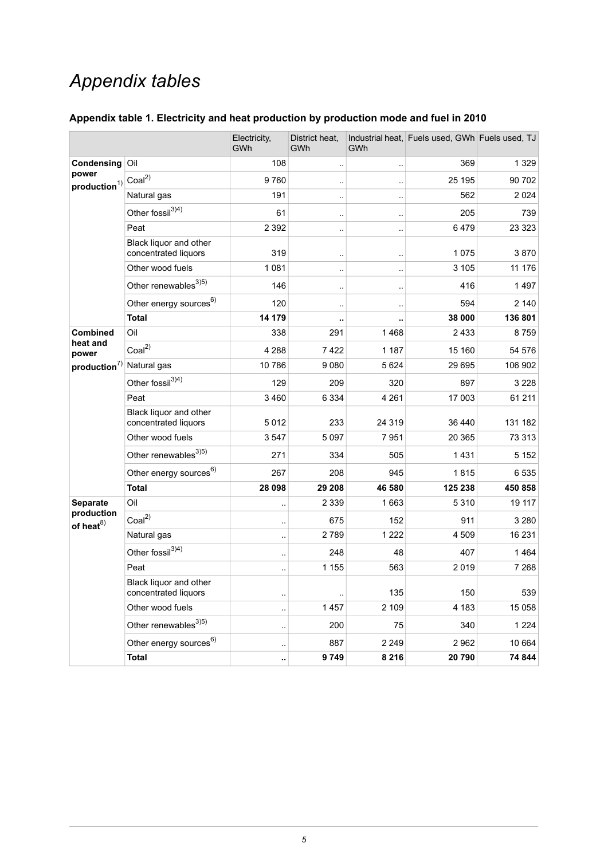## *Appendix tables*

<span id="page-4-0"></span>

|  |  |  | Appendix table 1. Electricity and heat production by production mode and fuel in 2010 |  |
|--|--|--|---------------------------------------------------------------------------------------|--|
|--|--|--|---------------------------------------------------------------------------------------|--|

|                               |                                                | Electricity,<br>GWh | District heat,<br>GWh | GWh                  | Industrial heat, Fuels used, GWh Fuels used, TJ |         |
|-------------------------------|------------------------------------------------|---------------------|-----------------------|----------------------|-------------------------------------------------|---------|
| Condensing                    | Oil                                            | 108                 | $\ddotsc$             | $\ddotsc$            | 369                                             | 1 3 2 9 |
| power<br>$production^{1)}$    | Coal <sup>2</sup>                              | 9760                | ٠.                    | $\ddotsc$            | 25 195                                          | 90 702  |
|                               | Natural gas                                    | 191                 |                       |                      | 562                                             | 2 0 2 4 |
|                               | Other fossil <sup>3)4)</sup>                   | 61                  | ٠.                    | $\ddot{\phantom{0}}$ | 205                                             | 739     |
|                               | Peat                                           | 2 3 9 2             | ٠.                    | $\ddotsc$            | 6479                                            | 23 3 23 |
|                               | Black liquor and other<br>concentrated liquors | 319                 | ٠.                    | $\ddotsc$            | 1075                                            | 3870    |
|                               | Other wood fuels                               | 1 0 8 1             | ٠.                    | $\ddotsc$            | 3 1 0 5                                         | 11 176  |
|                               | Other renewables <sup>3)5)</sup>               | 146                 |                       | $\ddot{\phantom{0}}$ | 416                                             | 1497    |
|                               | Other energy sources <sup>6)</sup>             | 120                 | ٠.                    |                      | 594                                             | 2 140   |
|                               | <b>Total</b>                                   | 14 179              |                       |                      | 38 000                                          | 136 801 |
| <b>Combined</b>               | Oil                                            | 338                 | 291                   | 1468                 | 2433                                            | 8759    |
| heat and<br>power             | Coal <sup>2</sup>                              | 4 2 8 8             | 7422                  | 1 1 8 7              | 15 160                                          | 54 576  |
| production <sup>7</sup>       | Natural gas                                    | 10786               | 9080                  | 5 6 2 4              | 29 6 95                                         | 106 902 |
|                               | Other fossil <sup>3)4)</sup>                   | 129                 | 209                   | 320                  | 897                                             | 3 2 2 8 |
|                               | Peat                                           | 3 4 6 0             | 6 3 3 4               | 4 2 6 1              | 17 003                                          | 61 211  |
|                               | Black liquor and other<br>concentrated liquors | 5012                | 233                   | 24 319               | 36 440                                          | 131 182 |
|                               | Other wood fuels                               | 3547                | 5 0 9 7               | 7951                 | 20 365                                          | 73 313  |
|                               | Other renewables <sup>3)5)</sup>               | 271                 | 334                   | 505                  | 1431                                            | 5 1 5 2 |
|                               | Other energy sources <sup>6)</sup>             | 267                 | 208                   | 945                  | 1815                                            | 6535    |
|                               | <b>Total</b>                                   | 28 098              | 29 208                | 46 580               | 125 238                                         | 450 858 |
| Separate                      | Oil                                            | ٠.                  | 2 3 3 9               | 1663                 | 5310                                            | 19 117  |
| production<br>of heat $^{8)}$ | Coal <sup>2</sup>                              | ٠,                  | 675                   | 152                  | 911                                             | 3 2 8 0 |
|                               | Natural gas                                    |                     | 2789                  | 1 2 2 2              | 4 5 0 9                                         | 16 231  |
|                               | Other fossil <sup>3)4)</sup>                   | ٠.                  | 248                   | 48                   | 407                                             | 1464    |
|                               | Peat                                           | ٠.                  | 1 1 5 5               | 563                  | 2019                                            | 7 2 6 8 |
|                               | Black liquor and other<br>concentrated liquors | ٠.                  | .,                    | 135                  | 150                                             | 539     |
|                               | Other wood fuels                               |                     | 1 4 5 7               | 2 1 0 9              | 4 183                                           | 15 0 58 |
|                               | Other renewables <sup>3)5)</sup>               | $\ddotsc$           | 200                   | 75                   | 340                                             | 1 2 2 4 |
|                               | Other energy sources <sup>6)</sup>             | ÷                   | 887                   | 2 2 4 9              | 2962                                            | 10 664  |
|                               | <b>Total</b>                                   |                     | 9749                  | 8 2 1 6              | 20790                                           | 74 844  |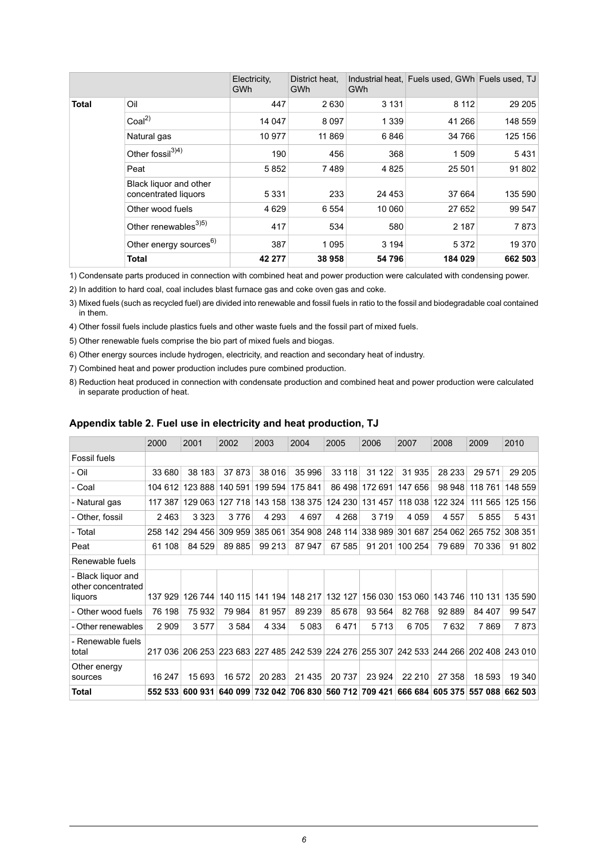|              |                                                | Electricity,<br><b>GWh</b> | District heat.<br><b>GWh</b> | <b>GWh</b> | Industrial heat, Fuels used, GWh Fuels used, TJ |         |
|--------------|------------------------------------------------|----------------------------|------------------------------|------------|-------------------------------------------------|---------|
| <b>Total</b> | Oil                                            | 447                        | 2630                         | 3 1 3 1    | 8 1 1 2                                         | 29 205  |
|              | $C$ oal <sup>2)</sup>                          | 14 047                     | 8 0 9 7                      | 1 3 3 9    | 41 266                                          | 148 559 |
|              | Natural gas                                    | 10 977                     | 11 869                       | 6846       | 34 766                                          | 125 156 |
|              | Other fossil <sup>3)4)</sup>                   | 190                        | 456                          | 368        | 1509                                            | 5431    |
|              | Peat                                           | 5852                       | 7489                         | 4 8 2 5    | 25 501                                          | 91 802  |
|              | Black liquor and other<br>concentrated liquors | 5 3 3 1                    | 233                          | 24 453     | 37 664                                          | 135 590 |
|              | Other wood fuels                               | 4629                       | 6 5 5 4                      | 10 060     | 27 652                                          | 99 547  |
|              | Other renewables <sup>3)5)</sup>               | 417                        | 534                          | 580        | 2 1 8 7                                         | 7873    |
|              | Other energy sources <sup>6)</sup>             | 387                        | 1 0 9 5                      | 3 1 9 4    | 5 3 7 2                                         | 19 370  |
|              | <b>Total</b>                                   | 42 277                     | 38 958                       | 54 796     | 184 029                                         | 662 503 |

1) Condensate parts produced in connection with combined heat and power production were calculated with condensing power.

2) In addition to hard coal, coal includes blast furnace gas and coke oven gas and coke.

Mixed fuels (such as recycled fuel) are divided into renewable and fossil fuels in ratio to the fossil and biodegradable coal contained 3) in them.

4) Other fossil fuels include plastics fuels and other waste fuels and the fossil part of mixed fuels.

5) Other renewable fuels comprise the bio part of mixed fuels and biogas.

6) Other energy sources include hydrogen, electricity, and reaction and secondary heat of industry.

7) Combined heat and power production includes pure combined production.

<span id="page-5-0"></span>8) Reduction heat produced in connection with condensate production and combined heat and power production were calculated in separate production of heat.

#### **Appendix table 2. Fuel use in electricity and heat production, TJ**

|                                          | 2000    | 2001    | 2002    | 2003    | 2004            | 2005    | 2006                                                                    | 2007    | 2008    | 2009                    | 2010    |
|------------------------------------------|---------|---------|---------|---------|-----------------|---------|-------------------------------------------------------------------------|---------|---------|-------------------------|---------|
| <b>Fossil fuels</b>                      |         |         |         |         |                 |         |                                                                         |         |         |                         |         |
| - Oil                                    | 33 680  | 38 183  | 37873   | 38 016  | 35 996          | 33 118  | 31 122                                                                  | 31935   | 28 233  | 29 571                  | 29 205  |
| - Coal                                   | 104 612 | 123888  | 140 591 | 199 594 | 175 841         | 86 498  | 172 691                                                                 | 147 656 | 98 948  | 118761                  | 148 559 |
| - Natural gas                            | 117 387 | 129 063 | 127 718 | 143 158 | 138 375         | 124 230 | 131 457                                                                 | 118 038 | 122 324 | 111 565                 | 125 156 |
| - Other, fossil                          | 2463    | 3 3 2 3 | 3776    | 4 2 9 3 | 4697            | 4 2 6 8 | 3719                                                                    | 4 0 5 9 | 4557    | 5855                    | 5431    |
| - Total                                  | 258 142 | 294 456 | 309 959 |         | 385 061 354 908 | 248 114 | 338 989                                                                 |         |         | 301 687 254 062 265 752 | 308 351 |
| Peat                                     | 61 108  | 84 529  | 89 885  | 99 213  | 87 947          | 67 585  | 91 201                                                                  | 100 254 | 79 689  | 70 336                  | 91 802  |
| Renewable fuels                          |         |         |         |         |                 |         |                                                                         |         |         |                         |         |
| - Black liquor and<br>other concentrated |         |         |         |         |                 |         |                                                                         |         |         |                         |         |
| liquors                                  | 137 929 | 126 744 | 140 115 | 141 194 | 148 217         | 132 127 | 156 030                                                                 | 153 060 | 143 746 | 110 131                 | 135 590 |
| - Other wood fuels                       | 76 198  | 75 932  | 79 984  | 81 957  | 89 239          | 85 678  | 93 564                                                                  | 82768   | 92 889  | 84 407                  | 99 547  |
| - Other renewables                       | 2 9 0 9 | 3577    | 3584    | 4 3 3 4 | 5083            | 6471    | 5713                                                                    | 6705    | 7632    | 7869                    | 7873    |
| - Renewable fuels<br>total               | 217 036 |         |         |         |                 |         | 206 253 223 683 227 485 242 539 224 276 255 307 242 533 244 266 202 408 |         |         |                         | 243 010 |
| Other energy<br>sources                  | 16 247  | 15 693  | 16 572  | 20 283  | 21 4 35         | 20737   | 23 9 24                                                                 | 22 210  | 27 358  | 18 593                  | 19 340  |
| Total                                    | 552 533 | 600 931 | 640 099 |         |                 |         | 732 042 706 830 560 712 709 421                                         |         |         | 666 684 605 375 557 088 | 662 503 |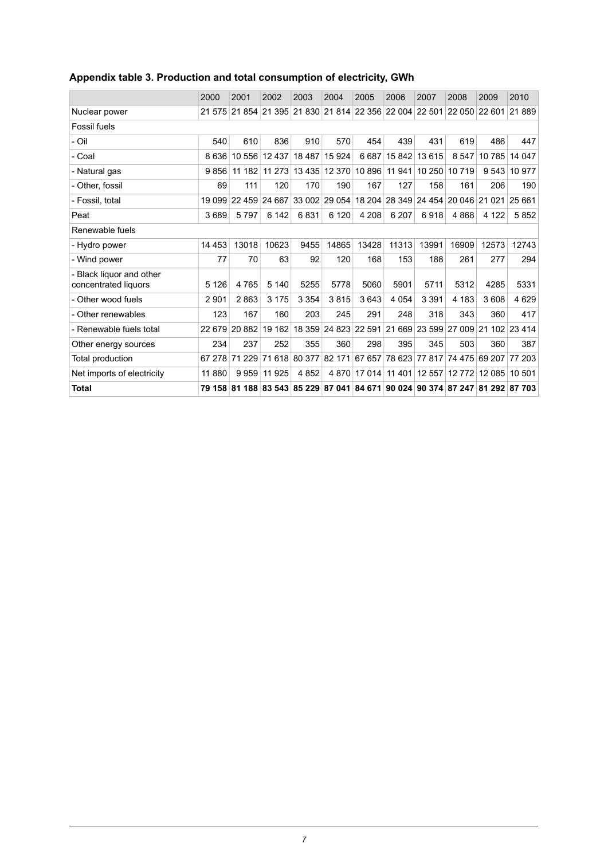|                                                  | 2000     | 2001   | 2002                 | 2003     | 2004                 | 2005          | 2006                                                                  | 2007          | 2008                               | 2009                 | 2010          |  |
|--------------------------------------------------|----------|--------|----------------------|----------|----------------------|---------------|-----------------------------------------------------------------------|---------------|------------------------------------|----------------------|---------------|--|
| Nuclear power                                    | 21 575   |        |                      |          |                      |               | 21 854 21 395 21 830 21 814 22 356 22 004 22 501                      |               | 22 050 22 601                      |                      | 21889         |  |
| <b>Fossil fuels</b>                              |          |        |                      |          |                      |               |                                                                       |               |                                    |                      |               |  |
| - Oil                                            | 540      | 610    | 836                  | 910      | 570                  | 454           | 439                                                                   | 431           | 619                                | 486                  | 447           |  |
| - Coal                                           | 8636     |        | 10 556 12 437        | 18 4 8 7 | 15 9 24              | 6687          |                                                                       | 15 842 13 615 | 8 5 4 7                            |                      | 10 785 14 047 |  |
| - Natural gas                                    | 9856     | 11 182 | 11 273               | 13435    |                      | 12 370 10 896 | 11 941                                                                |               | 10 250 10 719                      |                      | 9 543 10 977  |  |
| - Other, fossil                                  | 69       | 111    | 120                  | 170      | 190                  | 167           | 127                                                                   | 158           | 161                                | 206                  | 190           |  |
| - Fossil, total                                  | 19 0 9 9 |        | 22 459 24 667        |          | 33 002 29 054 18 204 |               |                                                                       | 28 349 24 454 | 20 046 21 021                      |                      | 25 661        |  |
| Peat                                             | 3689     | 5797   | 6 142                | 6831     | 6 1 2 0              | 4 208         | 6 207                                                                 | 6918          | 4868                               | 4 1 2 2              | 5852          |  |
| Renewable fuels                                  |          |        |                      |          |                      |               |                                                                       |               |                                    |                      |               |  |
| - Hydro power                                    | 14 4 53  | 13018  | 10623                | 9455     | 14865                | 13428         | 11313                                                                 | 13991         | 16909                              | 12573                | 12743         |  |
| - Wind power                                     | 77       | 70     | 63                   | 92       | 120                  | 168           | 153                                                                   | 188           | 261                                | 277                  | 294           |  |
| - Black liguor and other<br>concentrated liquors | 5 1 2 6  | 4765   | 5 1 4 0              | 5255     | 5778                 | 5060          | 5901                                                                  | 5711          | 5312                               | 4285                 | 5331          |  |
| - Other wood fuels                               | 2 9 0 1  | 2863   | 3 1 7 5              | 3 3 5 4  | 3815                 | 3643          | 4 0 5 4                                                               | 3 3 9 1       | 4 183                              | 3608                 | 4629          |  |
| - Other renewables                               | 123      | 167    | 160                  | 203      | 245                  | 291           | 248                                                                   | 318           | 343                                | 360                  | 417           |  |
| - Renewable fuels total                          | 22 679   | 20 882 | 19 162               |          | 18 359 24 823 22 591 |               |                                                                       |               | 21 669 23 599 27 009 21 102 23 414 |                      |               |  |
| Other energy sources                             | 234      | 237    | 252                  | 355      | 360                  | 298           | 395                                                                   | 345           | 503                                | 360                  | 387           |  |
| Total production                                 | 67 278   |        | 71 229 71 618 80 377 |          | 82 171               | 67 657        |                                                                       | 78 623 77 817 |                                    | 74 475 69 207 77 203 |               |  |
| Net imports of electricity                       | 11880    | 9959   | 11 925               | 4852     |                      | 4 870 17 014  | 11 401                                                                | 12 557        | 12772                              | 12 085 10 501        |               |  |
| <b>Total</b>                                     | 79 158   |        |                      |          |                      |               | 81 188 83 543 85 229 87 041 84 671 90 024 90 374 87 247 81 292 87 703 |               |                                    |                      |               |  |

#### <span id="page-6-0"></span>**Appendix table 3. Production and total consumption of electricity, GWh**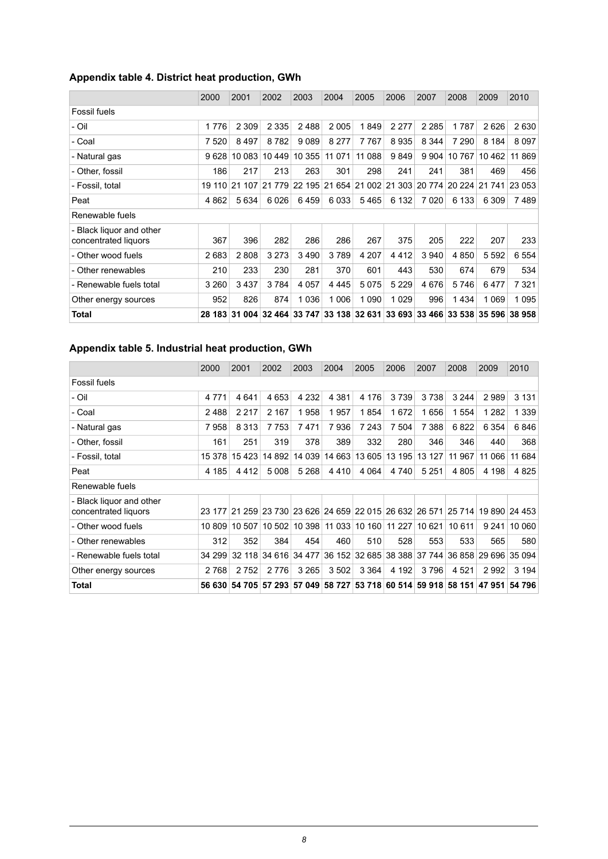#### <span id="page-7-0"></span>**Appendix table 4. District heat production, GWh**

|                                                  | 2000    | 2001    | 2002     | 2003    | 2004     | 2005                               | 2006    | 2007    | 2008          | 2009    | 2010                               |  |
|--------------------------------------------------|---------|---------|----------|---------|----------|------------------------------------|---------|---------|---------------|---------|------------------------------------|--|
| <b>Fossil fuels</b>                              |         |         |          |         |          |                                    |         |         |               |         |                                    |  |
| - Oil                                            | 1776    | 2 3 0 9 | 2 3 3 5  | 2488    | 2005     | 1849                               | 2 2 7 7 | 2 2 8 5 | 1787          | 2626    | 2630                               |  |
| - Coal                                           | 7 5 20  | 8497    | 8782     | 9089    | 8 2 7 7  | 7767                               | 8935    | 8 3 4 4 | 7 2 9 0       | 8 1 8 4 | 8097                               |  |
| - Natural gas                                    | 9628    | 10 083  | 10 449   | 10 355  | 11 0 7 1 | 11 088                             | 9849    | 9 9 0 4 | 10 767        | 10 462  | 11 869                             |  |
| - Other, fossil                                  | 186     | 217     | 213      | 263     | 301      | 298                                | 241     | 241     | 381           | 469     | 456                                |  |
| - Fossil, total                                  | 19 110  | 21 107  | 21 7 7 9 | 22 195  |          | 21 654 21 002                      | 21 303  |         | 20 774 20 224 | 21 741  | 23 053                             |  |
| Peat                                             | 4 8 6 2 | 5634    | 6026     | 6459    | 6033     | 5465                               | 6 1 3 2 | 7 0 2 0 | 6 133         | 6 3 0 9 | 7489                               |  |
| Renewable fuels                                  |         |         |          |         |          |                                    |         |         |               |         |                                    |  |
| - Black liquor and other<br>concentrated liquors | 367     | 396     | 282      | 286     | 286      | 267                                | 375     | 205     | 222           | 207     | 233                                |  |
| - Other wood fuels                               | 2683    | 2808    | 3 2 7 3  | 3490    | 3789     | 4 207                              | 4412    | 3 9 4 0 | 4850          | 5 5 9 2 | 6554                               |  |
| - Other renewables                               | 210     | 233     | 230      | 281     | 370      | 601                                | 443     | 530     | 674           | 679     | 534                                |  |
| - Renewable fuels total                          | 3 2 6 0 | 3437    | 3784     | 4 0 5 7 | 4 4 4 5  | 5075                               | 5 2 2 9 | 4676    | 5746          | 6477    | 7 3 2 1                            |  |
| Other energy sources                             | 952     | 826     | 874      | 1036    | 1 0 0 6  | 1 0 9 0                            | 1 0 2 9 | 996     | 1434          | 1 0 6 9 | 1095                               |  |
| <b>Total</b>                                     | 28 183  |         |          |         |          | 31 004 32 464 33 747 33 138 32 631 |         |         |               |         | 33 693 33 466 33 538 35 596 38 958 |  |

#### <span id="page-7-1"></span>**Appendix table 5. Industrial heat production, GWh**

|                                                  | 2000    | 2001                                                                         | 2002                 | 2003    | 2004    | 2005          | 2006   | 2007    | 2008                               | 2009    | 2010         |  |
|--------------------------------------------------|---------|------------------------------------------------------------------------------|----------------------|---------|---------|---------------|--------|---------|------------------------------------|---------|--------------|--|
| <b>Fossil fuels</b>                              |         |                                                                              |                      |         |         |               |        |         |                                    |         |              |  |
| - Oil                                            | 4 7 7 1 | 4641                                                                         | 4653                 | 4 2 3 2 | 4 3 8 1 | 4 1 7 6       | 3739   | 3738    | 3 2 4 4                            | 2989    | 3 1 3 1      |  |
| - Coal                                           | 2488    | 2 2 1 7                                                                      | 2 1 6 7              | 1958    | 1957    | 1854          | 1672   | 1656    | 1 5 5 4                            | 1 2 8 2 | 1 3 3 9      |  |
| - Natural gas                                    | 7958    | 8 3 1 3                                                                      | 7753                 | 7471    | 7936    | 7 2 4 3       | 7 504  | 7 3 8 8 | 6822                               | 6 3 5 4 | 6846         |  |
| - Other, fossil                                  | 161     | 251                                                                          | 319                  | 378     | 389     | 332           | 280    | 346     | 346                                | 440     | 368          |  |
| - Fossil, total                                  | 15 378  | 15423                                                                        | 14 892               | 14 039  |         | 14 663 13 605 | 13 195 | 13 127  | 11 967                             | 11 066  | 11 684       |  |
| Peat                                             | 4 185   | 4412                                                                         | 5 0 0 8              | 5 2 6 8 | 4410    | 4 0 64        | 4 740  | 5 2 5 1 | 4 8 0 5                            | 4 1 9 8 | 4825         |  |
| Renewable fuels                                  |         |                                                                              |                      |         |         |               |        |         |                                    |         |              |  |
| - Black liguor and other<br>concentrated liquors |         | 23 177 21 259 23 730 23 626 24 659 22 015 26 632 26 571 25 714 19 890 24 453 |                      |         |         |               |        |         |                                    |         |              |  |
| - Other wood fuels                               | 10 809  | 10 507                                                                       | 10 502               | 10 398  |         | 11 033 10 160 | 11 227 | 10621   | 10 611                             |         | 9 241 10 060 |  |
| - Other renewables                               | 312     | 352                                                                          | 384                  | 454     | 460     | 510           | 528    | 553     | 533                                | 565     | 580          |  |
| - Renewable fuels total                          | 34 299  |                                                                              | 32 118 34 616 34 477 |         |         | 36 152 32 685 |        |         | 38 388 37 744 36 858 29 696 35 094 |         |              |  |
| Other energy sources                             | 2768    | 2752                                                                         | 2 7 7 6              | 3 2 6 5 | 3 5 0 2 | 3 3 6 4       | 4 192  | 3796    | 4 5 2 1                            | 2992    | 3 1 9 4      |  |
| Total                                            |         | 56 630 54 705 57 293 57 049 58 727 53 718 60 514 59 918 58 151 47 951 54 796 |                      |         |         |               |        |         |                                    |         |              |  |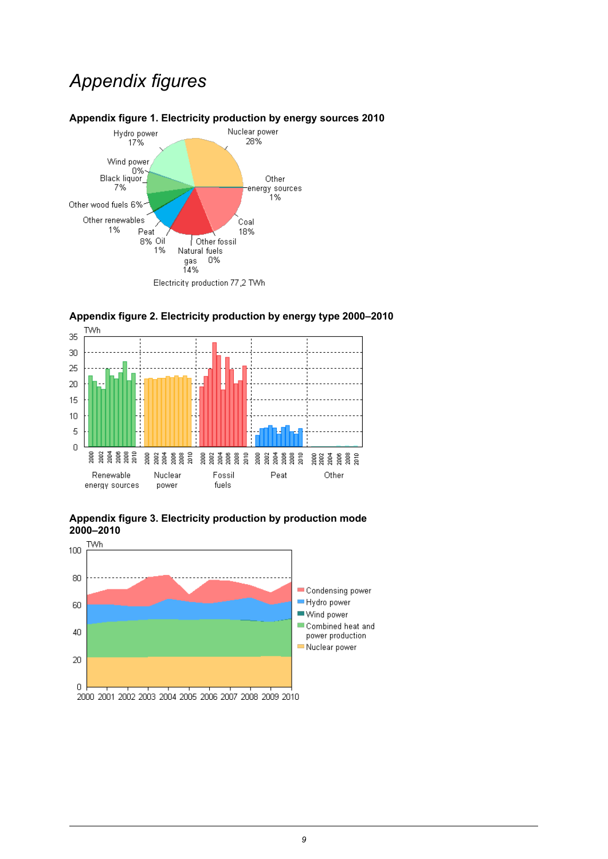## *Appendix figures*

<span id="page-8-0"></span>



## <span id="page-8-1"></span>**Appendix figure 2. Electricity production by energy type 2000–2010**

<span id="page-8-2"></span>

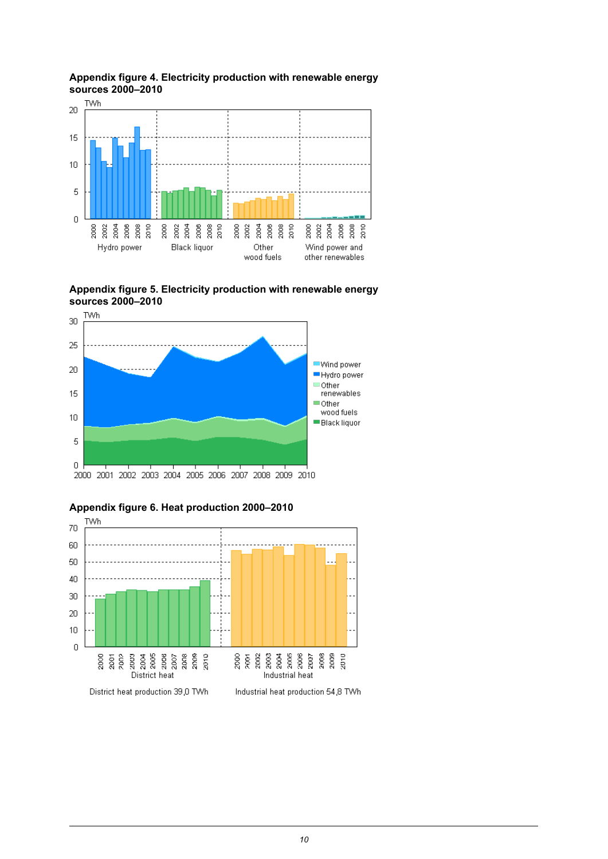

<span id="page-9-0"></span>**Appendix figure 4. Electricity production with renewable energy sources 2000–2010**

<span id="page-9-1"></span>**Appendix figure 5. Electricity production with renewable energy sources 2000–2010**



<span id="page-9-2"></span>

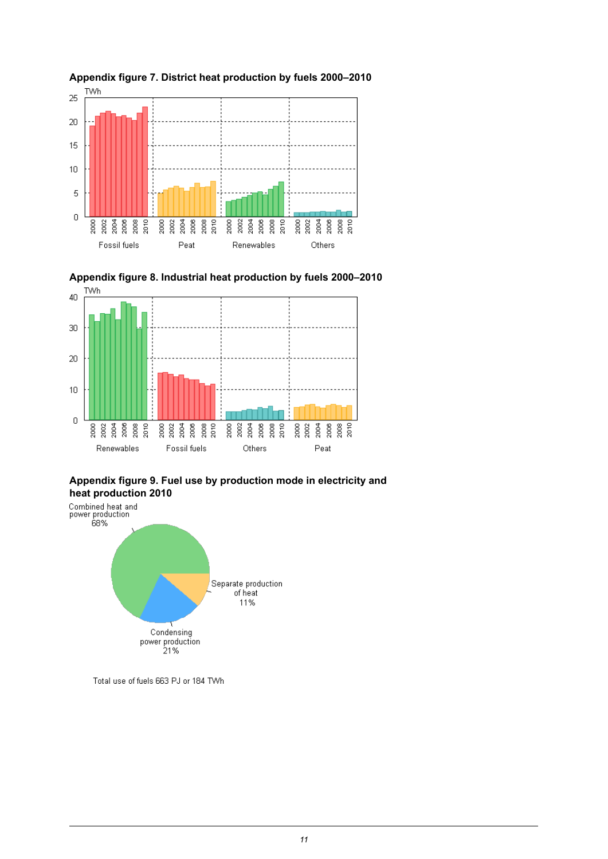<span id="page-10-0"></span>



### <span id="page-10-1"></span>**Appendix figure 8. Industrial heat production by fuels 2000–2010**

## <span id="page-10-2"></span>**Appendix figure 9. Fuel use by production mode in electricity and**



Total use of fuels 663 PJ or 184 TWh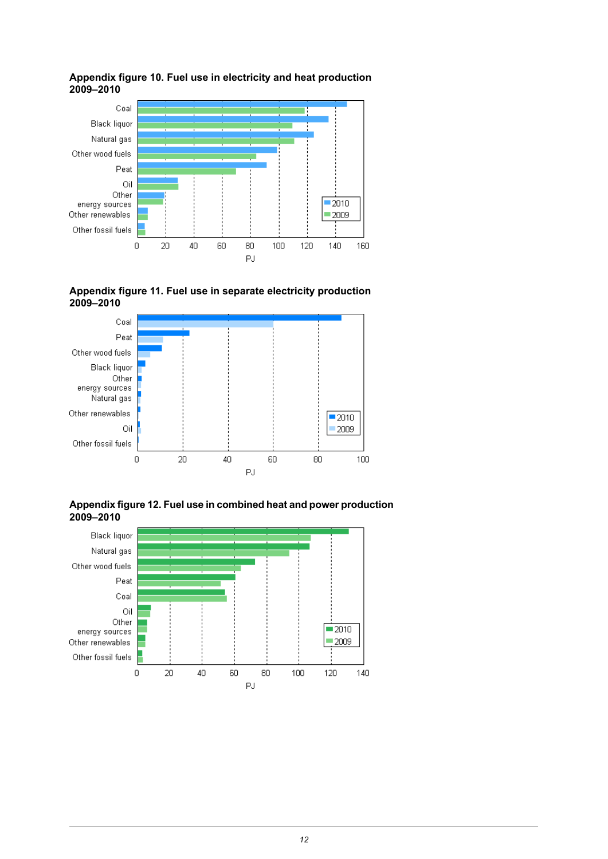

#### <span id="page-11-0"></span>**Appendix figure 10. Fuel use in electricity and heat production 2009–2010**

<span id="page-11-1"></span>



<span id="page-11-2"></span>**Appendixfigure12. Fuel usein combined heatand power production 2009–2010**

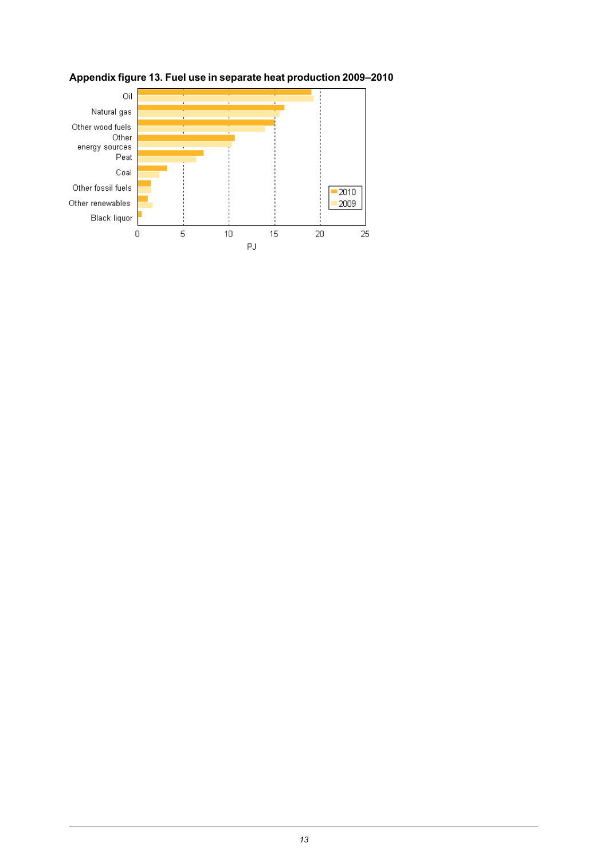

### <span id="page-12-0"></span>**Appendix figure 13. Fuel use in separate heat production 2009–2010**